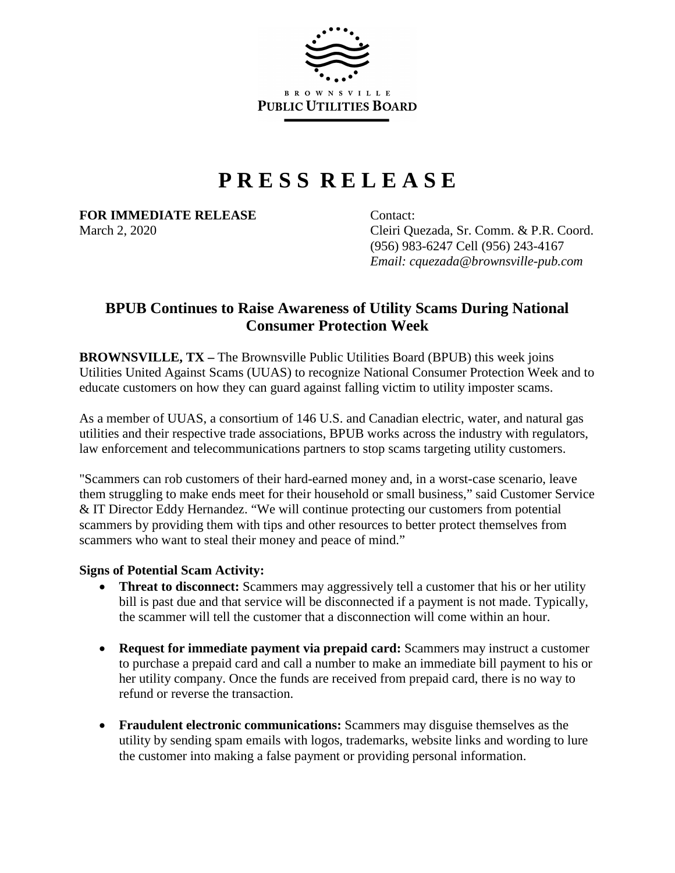

## **P R E S S R E L E A S E**

**FOR IMMEDIATE RELEASE** Contact:

March 2, 2020 Cleiri Quezada, Sr. Comm. & P.R. Coord. (956) 983-6247 Cell (956) 243-4167  *Email: cquezada@brownsville-pub.com*

## **BPUB Continues to Raise Awareness of Utility Scams During National Consumer Protection Week**

**BROWNSVILLE, TX –** The Brownsville Public Utilities Board (BPUB) this week joins Utilities United Against Scams (UUAS) to recognize National Consumer Protection Week and to educate customers on how they can guard against falling victim to utility imposter scams.

As a member of UUAS, a consortium of 146 U.S. and Canadian electric, water, and natural gas utilities and their respective trade associations, BPUB works across the industry with regulators, law enforcement and telecommunications partners to stop scams targeting utility customers.

"Scammers can rob customers of their hard-earned money and, in a worst-case scenario, leave them struggling to make ends meet for their household or small business," said Customer Service & IT Director Eddy Hernandez. "We will continue protecting our customers from potential scammers by providing them with tips and other resources to better protect themselves from scammers who want to steal their money and peace of mind."

## **Signs of Potential Scam Activity:**

- **Threat to disconnect:** Scammers may aggressively tell a customer that his or her utility bill is past due and that service will be disconnected if a payment is not made. Typically, the scammer will tell the customer that a disconnection will come within an hour.
- **Request for immediate payment via prepaid card:** Scammers may instruct a customer to purchase a prepaid card and call a number to make an immediate bill payment to his or her utility company. Once the funds are received from prepaid card, there is no way to refund or reverse the transaction.
- **Fraudulent electronic communications:** Scammers may disguise themselves as the utility by sending spam emails with logos, trademarks, website links and wording to lure the customer into making a false payment or providing personal information.